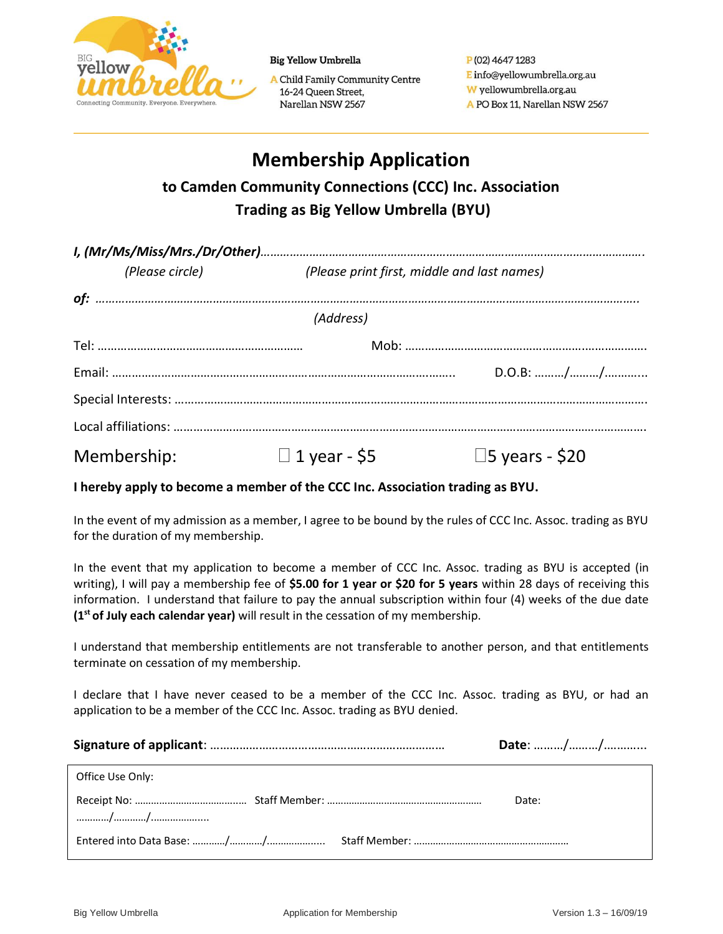

**Big Yellow Umbrella** 

A Child Family Community Centre 16-24 Queen Street, Narellan NSW 2567

P(02) 4647 1283 E info@yellowumbrella.org.au W yellowumbrella.org.au A PO Box 11, Narellan NSW 2567

# **Membership Application to Camden Community Connections (CCC) Inc. Association Trading as Big Yellow Umbrella (BYU)**

| (Please circle) |             | (Please print first, middle and last names) |                          |
|-----------------|-------------|---------------------------------------------|--------------------------|
|                 |             |                                             |                          |
|                 |             | (Address)                                   |                          |
|                 |             |                                             |                          |
|                 |             |                                             | D.O.B: //                |
|                 |             |                                             |                          |
|                 |             |                                             |                          |
|                 | Membership: | $\Box$ 1 year - \$5                         | $\square$ 5 years - \$20 |

**I hereby apply to become a member of the CCC Inc. Association trading as BYU.**

In the event of my admission as a member, I agree to be bound by the rules of CCC Inc. Assoc. trading as BYU for the duration of my membership.

In the event that my application to become a member of CCC Inc. Assoc. trading as BYU is accepted (in writing), I will pay a membership fee of **\$5.00 for 1 year or \$20 for 5 years** within 28 days of receiving this information. I understand that failure to pay the annual subscription within four (4) weeks of the due date **(1st of July each calendar year)** will result in the cessation of my membership.

I understand that membership entitlements are not transferable to another person, and that entitlements terminate on cessation of my membership.

I declare that I have never ceased to be a member of the CCC Inc. Assoc. trading as BYU, or had an application to be a member of the CCC Inc. Assoc. trading as BYU denied.

|                  | Date: // |
|------------------|----------|
| Office Use Only: |          |
|                  | Date:    |
|                  |          |
|                  |          |